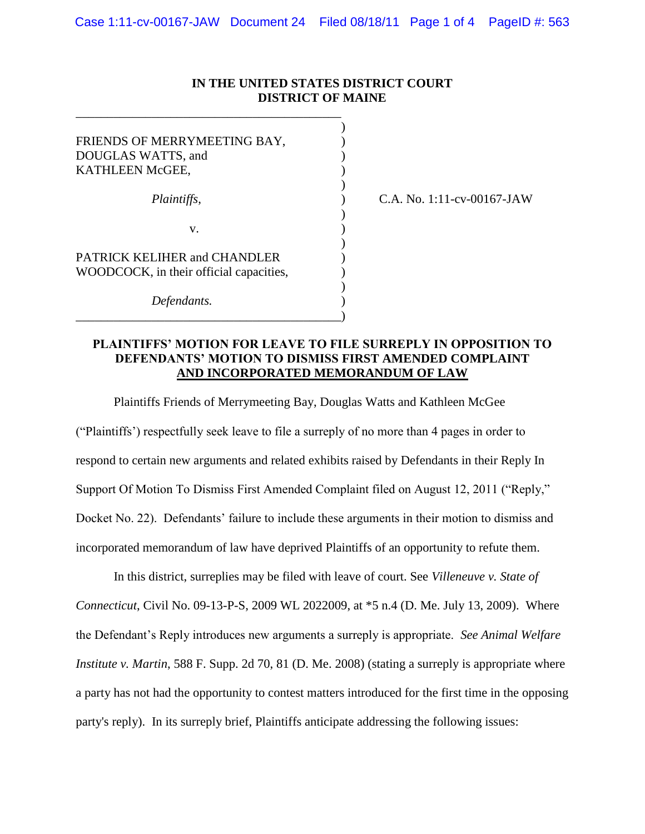## **IN THE UNITED STATES DISTRICT COURT DISTRICT OF MAINE**

)

)

)

)

| FRIENDS OF MERRYMEETING BAY,<br>DOUGLAS WATTS, and<br>KATHLEEN McGEE,   |  |
|-------------------------------------------------------------------------|--|
| Plaintiffs,                                                             |  |
| V.                                                                      |  |
| PATRICK KELIHER and CHANDLER<br>WOODCOCK, in their official capacities, |  |
| Defendants.                                                             |  |

\_\_\_\_\_\_\_\_\_\_\_\_\_\_\_\_\_\_\_\_\_\_\_\_\_\_\_\_\_\_\_\_\_\_\_\_\_\_\_\_\_\_)

\_\_\_\_\_\_\_\_\_\_\_\_\_\_\_\_\_\_\_\_\_\_\_\_\_\_\_\_\_\_\_\_\_\_\_\_\_\_\_\_\_\_

*Plaintiffs*, ) C.A. No. 1:11-cv-00167-JAW

## **PLAINTIFFS' MOTION FOR LEAVE TO FILE SURREPLY IN OPPOSITION TO DEFENDANTS' MOTION TO DISMISS FIRST AMENDED COMPLAINT AND INCORPORATED MEMORANDUM OF LAW**

Plaintiffs Friends of Merrymeeting Bay, Douglas Watts and Kathleen McGee

("Plaintiffs') respectfully seek leave to file a surreply of no more than 4 pages in order to respond to certain new arguments and related exhibits raised by Defendants in their Reply In Support Of Motion To Dismiss First Amended Complaint filed on August 12, 2011 ("Reply," Docket No. 22). Defendants' failure to include these arguments in their motion to dismiss and incorporated memorandum of law have deprived Plaintiffs of an opportunity to refute them.

In this district, surreplies may be filed with leave of court. See *Villeneuve v. State of Connecticut*, Civil No. 09-13-P-S, 2009 WL 2022009, at \*5 n.4 (D. Me. July 13, 2009). Where the Defendant's Reply introduces new arguments a surreply is appropriate. *See Animal Welfare Institute v. Martin*, 588 F. Supp. 2d 70, 81 (D. Me. 2008) (stating a surreply is appropriate where a party has not had the opportunity to contest matters introduced for the first time in the opposing party's reply). In its surreply brief, Plaintiffs anticipate addressing the following issues: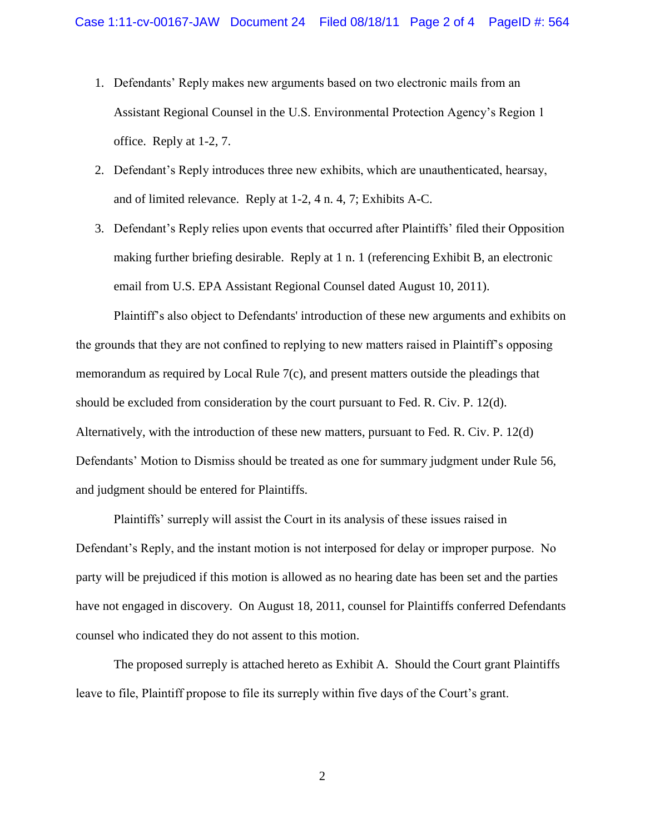- 1. Defendants' Reply makes new arguments based on two electronic mails from an Assistant Regional Counsel in the U.S. Environmental Protection Agency's Region 1 office. Reply at 1-2, 7.
- 2. Defendant's Reply introduces three new exhibits, which are unauthenticated, hearsay, and of limited relevance. Reply at 1-2, 4 n. 4, 7; Exhibits A-C.
- 3. Defendant's Reply relies upon events that occurred after Plaintiffs' filed their Opposition making further briefing desirable. Reply at 1 n. 1 (referencing Exhibit B, an electronic email from U.S. EPA Assistant Regional Counsel dated August 10, 2011).

Plaintiff's also object to Defendants' introduction of these new arguments and exhibits on the grounds that they are not confined to replying to new matters raised in Plaintiff's opposing memorandum as required by Local Rule 7(c), and present matters outside the pleadings that should be excluded from consideration by the court pursuant to Fed. R. Civ. P. 12(d). Alternatively, with the introduction of these new matters, pursuant to Fed. R. Civ. P. 12(d) Defendants' Motion to Dismiss should be treated as one for summary judgment under Rule 56, and judgment should be entered for Plaintiffs.

Plaintiffs' surreply will assist the Court in its analysis of these issues raised in Defendant's Reply, and the instant motion is not interposed for delay or improper purpose. No party will be prejudiced if this motion is allowed as no hearing date has been set and the parties have not engaged in discovery. On August 18, 2011, counsel for Plaintiffs conferred Defendants counsel who indicated they do not assent to this motion.

The proposed surreply is attached hereto as Exhibit A. Should the Court grant Plaintiffs leave to file, Plaintiff propose to file its surreply within five days of the Court's grant.

2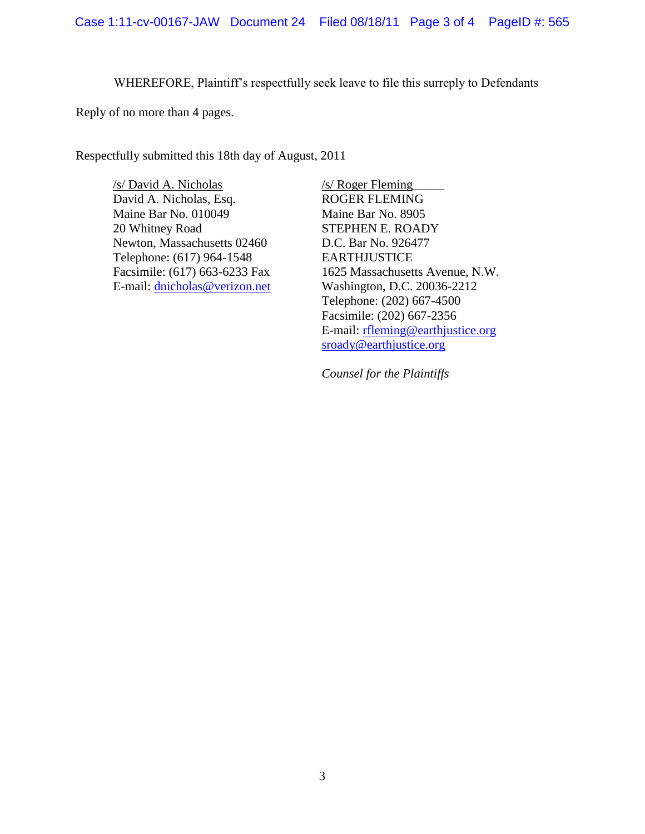WHEREFORE, Plaintiff's respectfully seek leave to file this surreply to Defendants

Reply of no more than 4 pages.

Respectfully submitted this 18th day of August, 2011

/s/ David A. Nicholas David A. Nicholas, Esq. Maine Bar No. 010049 20 Whitney Road Newton, Massachusetts 02460 Telephone: (617) 964-1548 Facsimile: (617) 663-6233 Fax E-mail: [dnicholas@verizon.net](mailto:dnicholas@verizon.net) /s/ Roger Fleming\_\_\_\_\_ ROGER FLEMING Maine Bar No. 8905 STEPHEN E. ROADY D.C. Bar No. 926477 EARTHJUSTICE 1625 Massachusetts Avenue, N.W. Washington, D.C. 20036-2212 Telephone: (202) 667-4500 Facsimile: (202) 667-2356 E-mail: [rfleming@earthjustice.org](mailto:rfleming@earthjustice.org) [sroady@earthjustice.org](mailto:sroady@earthjustice.org)

*Counsel for the Plaintiffs*